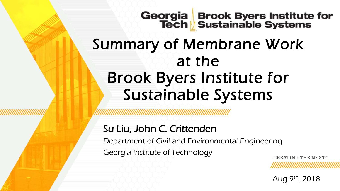# Georgia Brook Byers Institute for<br>Tech Sustainable Systems

## Summary of Membrane Work at the Brook Byers Institute for Sustainable Systems

### Su Liu, John C. Crittenden

Department of Civil and Environmental Engineering Georgia Institute of Technology

**CREATING THE NEXT** 

Aug 9<sup>th</sup>, 2018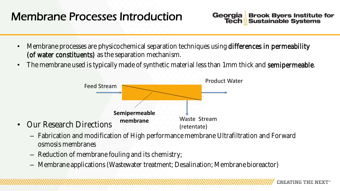## Membrane Processes Introduction

- Membrane processes are physicochemical separation techniques using differences in permeability (of water constituents) as the separation mechanism.
- The membrane used is typically made of synthetic material less than 1mm thick and semipermeable.



- Fabrication and modification of High performance membrane Ultrafiltration and Forward osmosis membranes
- Reduction of membrane fouling and its chemistry;
- Membrane applications (Wastewater treatment; Desalination; Membrane bioreactor)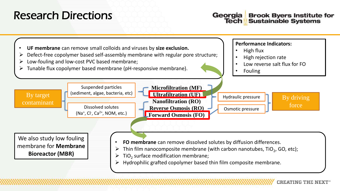### Research Directions

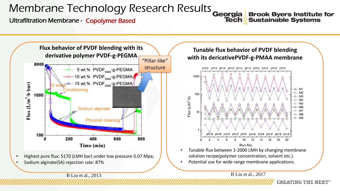## Membrane Technology Research Results

#### Ultrafiltration Membrane - Copolymer Based

Georgia **Brook Byers Institute for Sustainable Systems Tech** 



• Highest pure flux: 5170 (LMH bar) under low pressure 0.07 Mpa; • Sodium alginate(SA) rejection rate: 87%



Potential use for wide range membrane applications.

B Liu et al., 2013 B Liu et al., 2017

**CREATING THE NEXT<sup>®</sup>**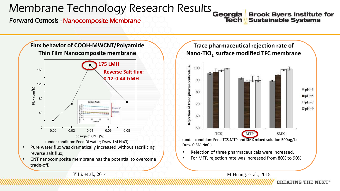## Membrane Technology Research Results Georgia

#### Forward Osmosis - Nanocomposite Membrane

**Brook Byers Institute for Sustainable Systems Tech** 

**CREATING THE NEXT<sup>®</sup>** 



#### **Trace pharmaceutical rejection rate of Nano-TiO2 surface modified TFC membrane**



(under condition: Feed TCS,MTP and SMX mixed solution 500ug/L; Draw 0.5M NaCl)

- Rejection of three pharmaceuticals were increased.
- For MTP, rejection rate was increased from 80% to 90%.

Y Li. et al., 2014 M Huang. et al., 2015